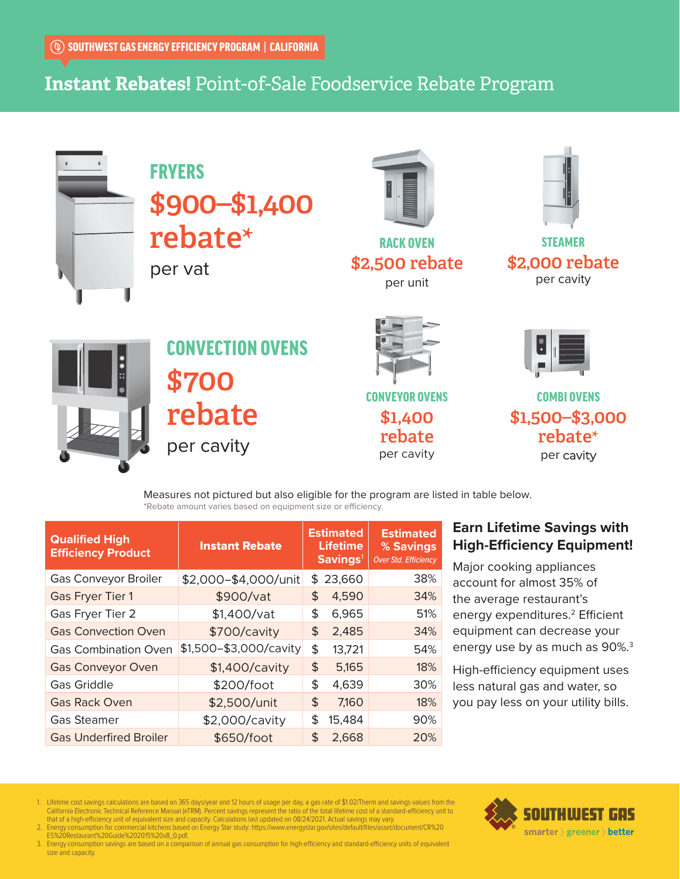# **Instant Rebates!** Point-of-Sale Foodservice Rebate Program



# FRYERS \$900–\$1,400 rebate**\***

per vat



RACK OVEN \$2,500 rebate per unit



STEAMER \$2,000 rebate per cavity



CONVECTION OVENS \$700 rebate per cavity



CONVEYOR OVENS \$1,400 rebate per cavity



COMBI OVENS \$1,500–\$3,000 rebate**\*** per cavity

Measures not pictured but also eligible for the program are listed in table below. \*Rebate amount varies based on equipment size or efficiency.

| <b>Qualified High</b><br><b>Efficiency Product</b> | <b>Instant Rebate</b>  | <b>Estimated</b><br><b>Lifetime</b><br>Savings <sup>1</sup> |          | <b>Estimated</b><br>% Savings<br><b>Over Std. Efficiency</b> |
|----------------------------------------------------|------------------------|-------------------------------------------------------------|----------|--------------------------------------------------------------|
| Gas Conveyor Broiler                               | \$2,000-\$4,000/unit   |                                                             | \$23,660 | 38%                                                          |
| <b>Gas Fryer Tier 1</b>                            | \$900/vat              | \$                                                          | 4,590    | 34%                                                          |
| Gas Fryer Tier 2                                   | \$1,400/vat            | \$                                                          | 6,965    | 51%                                                          |
| <b>Gas Convection Oven</b>                         | \$700/cavity           | \$                                                          | 2,485    | 34%                                                          |
| <b>Gas Combination Oven</b>                        | \$1,500-\$3,000/cavity | \$                                                          | 13,721   | 54%                                                          |
| <b>Gas Conveyor Oven</b>                           | \$1,400/cavity         | \$                                                          | 5,165    | 18%                                                          |
| <b>Gas Griddle</b>                                 | \$200/foot             | \$                                                          | 4,639    | 30%                                                          |
| <b>Gas Rack Oven</b>                               | \$2,500/unit           | \$                                                          | 7,160    | 18%                                                          |
| <b>Gas Steamer</b>                                 | \$2,000/cavity         | \$                                                          | 15,484   | 90%                                                          |
| <b>Gas Underfired Broiler</b>                      | \$650/foot             | \$                                                          | 2,668    | 20%                                                          |

### **Earn Lifetime Savings with High-Efficiency Equipment!**

Major cooking appliances account for almost 35% of the average restaurant's energy expenditures.<sup>2</sup> Efficient equipment can decrease your energy use by as much as 90%.<sup>3</sup>

High-efficiency equipment uses less natural gas and water, so you pay less on your utility bills.

- 1. Lifetime cost savings calculations are based on 365 days/year and 12 hours of usage per day, a gas rate of \$1.02/Therm and savings values from the California Electronic Technical Reference Manual (eTRM). Percent savings represent the ratio of the total lifetime cost of a standard-efficiency unit to<br>2. Energy consumption for commercial kitchens bise and capacity. Calc
- 
- 3. Energy consumption savings are based on a comparison of annual gas consumption for high-efficiency and standard-efficiency units of equivalent size and capacity.